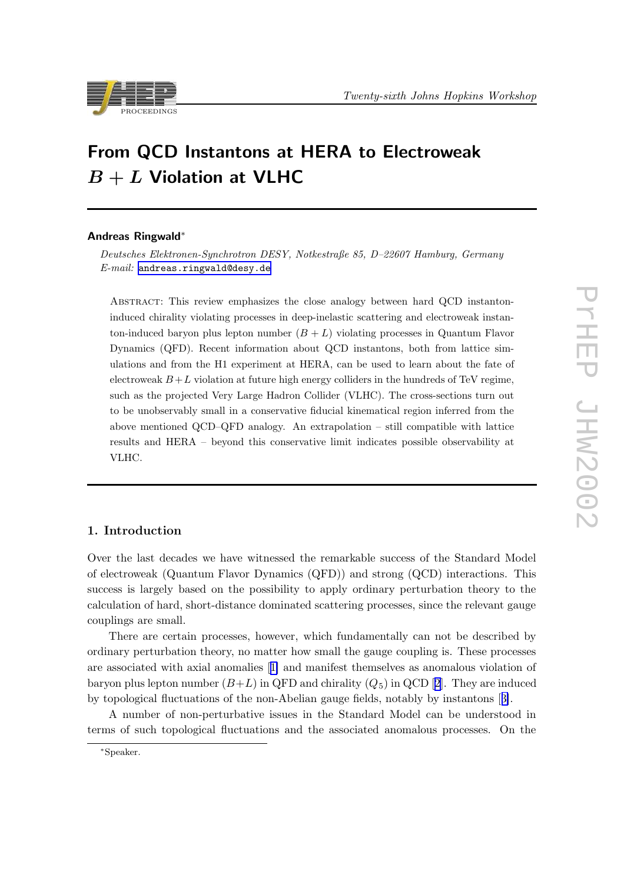



# From QCD Instantons at HERA to Electroweak  $B + L$  Violation at VLHC

#### Andreas Ringwald∗

Deutsches Elektronen-Synchrotron DESY, Notkestraße 85, D–22607 Hamburg, Germany E-mail: [andreas.ringwald@desy.de](mailto:andreas.ringwald@desy.de)

Abstract: This review emphasizes the close analogy between hard QCD instantoninduced chirality violating processes in deep-inelastic scattering and electroweak instanton-induced baryon plus lepton number  $(B + L)$  violating processes in Quantum Flavor Dynamics (QFD). Recent information about QCD instantons, both from lattice simulations and from the H1 experiment at HERA, can be used to learn about the fate of electroweak  $B + L$  violation at future high energy colliders in the hundreds of TeV regime, such as the projected Very Large Hadron Collider (VLHC). The cross-sections turn out to be unobservably small in a conservative fiducial kinematical region inferred from the above mentioned QCD–QFD analogy. An extrapolation – still compatible with lattice results and HERA – beyond this conservative limit indicates possible observability at VLHC.

## 1. Introduction

Over the last decades we have witnessed the remarkable success of the Standard Model of electroweak (Quantum Flavor Dynamics (QFD)) and strong (QCD) interactions. This success is largely based on the possibility to apply ordinary perturbation theory to the calculation of hard, short-distance dominated scattering processes, since the relevant gauge couplings are small.

There are certain processes, however, which fundamentally can not be described by ordinary perturbation theory, no matter how small the gauge coupling is. These processes are associated with axial anomalies [[1\]](#page-12-0) and manifest themselves as anomalous violation of baryon plus lepton number  $(B+L)$  in QFD and chirality  $(Q_5)$  in QCD [[2](#page-12-0)]. They are induced by topological fluctuations of the non-Abelian gauge fields, notably by instantons [[3\]](#page-12-0).

A number of non-perturbative issues in the Standard Model can be understood in terms of such topological fluctuations and the associated anomalous processes. On the

<sup>∗</sup>Speaker.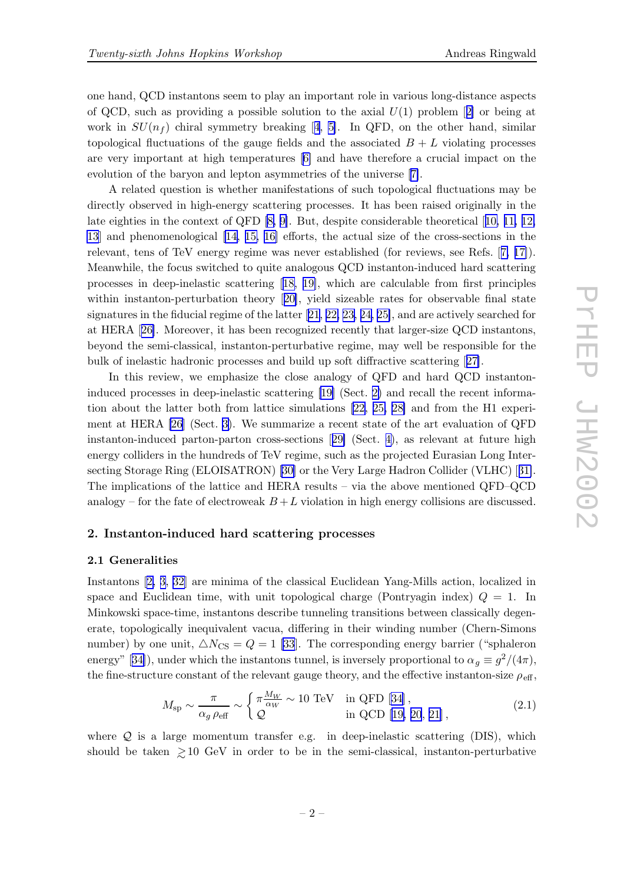<span id="page-1-0"></span>one hand, QCD instantons seem to play an important role in various long-distance aspects of QCD, such as providing a possible solution to the axial  $U(1)$  problem [[2\]](#page-12-0) or being at work in  $SU(n_f)$  chiral symmetry breaking [[4](#page-12-0), [5\]](#page-12-0). In QFD, on the other hand, similar topological fluctuations of the gauge fields and the associated  $B + L$  violating processes are very important at high temperatures [\[6\]](#page-12-0) and have therefore a crucial impact on the evolution of the baryon and lepton asymmetries of the universe [[7\]](#page-12-0).

A related question is whether manifestations of such topological fluctuations may be directly observed in high-energy scattering processes. It has been raised originally in the late eighties in the context of QFD [\[8,](#page-12-0) [9\]](#page-12-0). But, despite considerable theoretical [[10,](#page-12-0) [11,](#page-13-0) [12,](#page-13-0) [13](#page-13-0)] and phenomenological [\[14](#page-13-0), [15,](#page-13-0) [16\]](#page-13-0) efforts, the actual size of the cross-sections in the relevant, tens of TeV energy regime was never established (for reviews, see Refs. [[7,](#page-12-0) [17\]](#page-13-0)). Meanwhile, the focus switched to quite analogous QCD instanton-induced hard scattering processes in deep-inelastic scattering [[18,](#page-13-0) [19\]](#page-13-0), which are calculable from first principles within instanton-perturbation theory [[20\]](#page-13-0), yield sizeable rates for observable final state signatures in the fiducial regime of the latter [[21,](#page-13-0) [22,](#page-13-0) [23,](#page-13-0) [24,](#page-13-0) [25\]](#page-13-0), and are actively searched for at HERA [[26\]](#page-13-0). Moreover, it has been recognized recently that larger-size QCD instantons, beyond the semi-classical, instanton-perturbative regime, may well be responsible for the bulk of inelastic hadronic processes and build up soft diffractive scattering [[27\]](#page-13-0).

In this review, we emphasize the close analogy of QFD and hard QCD instantoninduced processes in deep-inelastic scattering [\[19\]](#page-13-0) (Sect. 2) and recall the recent information about the latter both from lattice simulations [[22,](#page-13-0) [25,](#page-13-0) [28\]](#page-13-0) and from the H1 experiment at HERA [\[26](#page-13-0)] (Sect. [3\)](#page-9-0). We summarize a recent state of the art evaluation of QFD instanton-induced parton-parton cross-sections [[29\]](#page-13-0) (Sect. [4\)](#page-10-0), as relevant at future high energy colliders in the hundreds of TeV regime, such as the projected Eurasian Long Intersecting Storage Ring (ELOISATRON) [[30\]](#page-13-0) or the Very Large Hadron Collider (VLHC) [[31\]](#page-13-0). The implications of the lattice and HERA results – via the above mentioned QFD–QCD analogy – for the fate of electroweak  $B + L$  violation in high energy collisions are discussed.

## 2. Instanton-induced hard scattering processes

#### 2.1 Generalities

Instantons [\[2,](#page-12-0) [3](#page-12-0), [32\]](#page-13-0) are minima of the classical Euclidean Yang-Mills action, localized in space and Euclidean time, with unit topological charge (Pontryagin index)  $Q = 1$ . In Minkowski space-time, instantons describe tunneling transitions between classically degenerate, topologically inequivalent vacua, differing in their winding number (Chern-Simons number) by one unit,  $\triangle N_{\text{CS}} = Q = 1$  [\[33](#page-13-0)]. The corresponding energy barrier ("sphaleron" energy" [[34\]](#page-14-0)), under which the instantons tunnel, is inversely proportional to  $\alpha_g \equiv g^2/(4\pi)$ , the fine-structure constant of the relevant gauge theory, and the effective instanton-size  $\rho_{\text{eff}}$ ,

$$
M_{\rm sp} \sim \frac{\pi}{\alpha_g \,\rho_{\rm eff}} \sim \begin{cases} \pi \frac{M_W}{\alpha_W} \sim 10 \text{ TeV} & \text{in QFD [34],} \\ \mathcal{Q} & \text{in QCD [19, 20, 21],} \end{cases}
$$
 (2.1)

where  $Q$  is a large momentum transfer e.g. in deep-inelastic scattering (DIS), which should be taken  $\geq 10$  GeV in order to be in the semi-classical, instanton-perturbative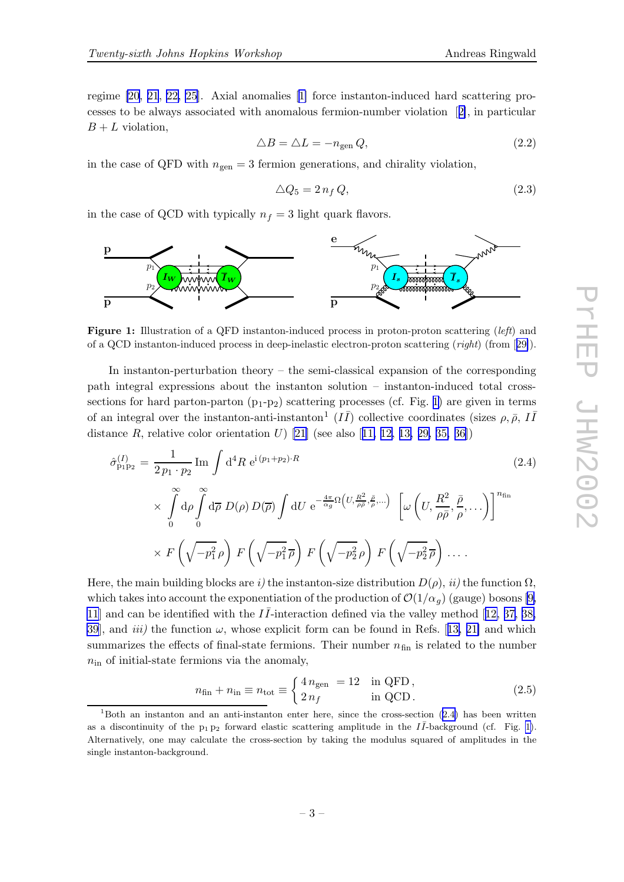<span id="page-2-0"></span>regime [\[20](#page-13-0), [21](#page-13-0), [22,](#page-13-0) [25](#page-13-0)]. Axial anomalies [\[1\]](#page-12-0) force instanton-induced hard scattering processes to be always associated with anomalous fermion-number violation [[2\]](#page-12-0), in particular  $B + L$  violation,

$$
\triangle B = \triangle L = -n_{\text{gen}} Q,\tag{2.2}
$$

in the case of QFD with  $n_{gen} = 3$  fermion generations, and chirality violation,

$$
\triangle Q_5 = 2 n_f Q, \tag{2.3}
$$

in the case of QCD with typically  $n_f = 3$  light quark flavors.



Figure 1: Illustration of a QFD instanton-induced process in proton-proton scattering (left) and of a QCD instanton-induced process in deep-inelastic electron-proton scattering (right) (from [[29\]](#page-13-0)).

In instanton-perturbation theory – the semi-classical expansion of the corresponding path integral expressions about the instanton solution – instanton-induced total crosssections for hard parton-parton  $(p_1-p_2)$  scattering processes (cf. Fig. 1) are given in terms of an integral over the instanton-anti-instanton<sup>1</sup>  $(I\bar{I})$  collective coordinates (sizes  $\rho$ ,  $\bar{\rho}$ ,  $I\bar{I}$ distance R, relative color orientation U) [[21\]](#page-13-0) (see also [[11,](#page-13-0) [12,](#page-13-0) [13,](#page-13-0) [29,](#page-13-0) [35,](#page-14-0) [36\]](#page-14-0))

In instanton-perturbation theory – the semi-classical expansion of the corresponding  
\ni integral expressions about the instanton solution – instanton-induced total cross-  
\nions for hard parton-parton (p<sub>1</sub>-p<sub>2</sub>) scattering processes (cf. Fig. 1) are given in terms  
\nn integral over the instanton-anti-instanton<sup>1</sup> (*II*) collective coordinates (sizes 
$$
\rho
$$
,  $\bar{\rho}$ , *II*  
\nance *R*, relative color orientation *U*) [21] (see also [11, 12, 13, 29, 35, 36])  
\n
$$
\hat{\sigma}_{p_1p_2}^{(I)} = \frac{1}{2p_1 \cdot p_2} \text{Im} \int d^4 R \ e^{i(p_1+p_2)\cdot R} \qquad (2.4)
$$
\n
$$
\times \int_0^\infty d\rho \int_0^\infty d\overline{\rho} D(\rho) D(\overline{\rho}) \int dU \ e^{-\frac{4\pi}{\alpha g} \Omega(U, \frac{R^2}{\rho \bar{\rho}}, \bar{\rho},...)} \left[\omega \left(U, \frac{R^2}{\rho \bar{\rho}}, \frac{\bar{\rho}}{\rho},... \right)\right]^{n_{\text{fin}}} \times F\left(\sqrt{-p_1^2 \rho}\right) F\left(\sqrt{-p_1^2 \rho}\right) F\left(\sqrt{-p_2^2 \rho}\right) F\left(\sqrt{-p_2^2 \rho}\right) \dots
$$

Here, the main building blocks are i) the instanton-size distribution  $D(\rho)$ , ii) the function  $\Omega$ , which takes into account the exponentiation of the production of  $\mathcal{O}(1/\alpha_q)$  (gauge) bosons [\[9,](#page-12-0) [11](#page-13-0)] and can be identified with the  $I\bar{I}$ -interaction defined via the valley method [[12,](#page-13-0) [37,](#page-14-0) [38,](#page-14-0) [39](#page-14-0)], and *iii*) the function  $\omega$ , whose explicit form can be found in Refs. [[13,](#page-13-0) [21\]](#page-13-0) and which summarizes the effects of final-state fermions. Their number  $n_{fin}$  is related to the number  $n_{\rm in}$  of initial-state fermions via the anomaly,

$$
n_{\text{fin}} + n_{\text{in}} \equiv n_{\text{tot}} \equiv \begin{cases} 4 n_{\text{gen}} = 12 & \text{in QFD} \\ 2 n_f & \text{in QCD} \end{cases} \tag{2.5}
$$

 $1<sup>1</sup>$ Both an instanton and an anti-instanton enter here, since the cross-section (2.4) has been written as a discontinuity of the  $p_1 p_2$  forward elastic scattering amplitude in the II-background (cf. Fig. 1). Alternatively, one may calculate the cross-section by taking the modulus squared of amplitudes in the single instanton-background.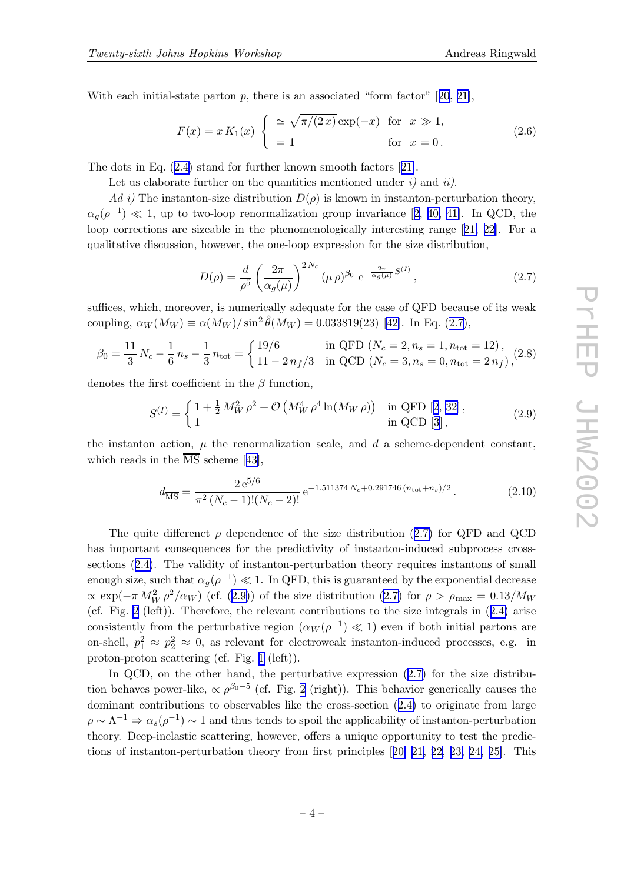<span id="page-3-0"></span>With each initial-state parton  $p$ , there is an associated "form factor" [[20,](#page-13-0) [21\]](#page-13-0),

$$
F(x) = x K_1(x) \begin{cases} \approx \sqrt{\pi/(2x)} \exp(-x) & \text{for } x \gg 1, \\ = 1 & \text{for } x = 0. \end{cases}
$$
 (2.6)

The dots in Eq. [\(2.4\)](#page-2-0) stand for further known smooth factors [[21\]](#page-13-0).

Let us elaborate further on the quantities mentioned under  $i$  and  $ii$ .

Ad i) The instanton-size distribution  $D(\rho)$  is known in instanton-perturbation theory,  $\alpha_g(\rho^{-1}) \ll 1$ , up to two-loop renormalization group invariance [[2,](#page-12-0) [40,](#page-14-0) [41\]](#page-14-0). In QCD, the loop corrections are sizeable in the phenomenologically interesting range [[21,](#page-13-0) [22\]](#page-13-0). For a qualitative discussion, however, the one-loop expression for the size distribution,

$$
D(\rho) = \frac{d}{\rho^5} \left(\frac{2\pi}{\alpha_g(\mu)}\right)^{2N_c} (\mu \rho)^{\beta_0} e^{-\frac{2\pi}{\alpha_g(\mu)} S^{(I)}},
$$
\n(2.7)

suffices, which, moreover, is numerically adequate for the case of QFD because of its weak coupling,  $\alpha_W(M_W) \equiv \alpha(M_W)/\sin^2 \hat{\theta}(M_W) = 0.033819(23)$  [[42\]](#page-14-0). In Eq. (2.7),

$$
\beta_0 = \frac{11}{3} N_c - \frac{1}{6} n_s - \frac{1}{3} n_{\text{tot}} = \begin{cases} 19/6 & \text{in QFD } (N_c = 2, n_s = 1, n_{\text{tot}} = 12), \\ 11 - 2 \, n_f / 3 & \text{in QCD } (N_c = 3, n_s = 0, n_{\text{tot}} = 2 \, n_f), \end{cases} \tag{2.8}
$$

denotes the first coefficient in the  $\beta$  function,

$$
S^{(I)} = \begin{cases} 1 + \frac{1}{2} M_W^2 \rho^2 + \mathcal{O} \left( M_W^4 \rho^4 \ln(M_W \rho) \right) & \text{in QFD [2, 32]}, \\ 1 & \text{in QCD [3]}, \end{cases}
$$
(2.9)

the instanton action,  $\mu$  the renormalization scale, and  $d$  a scheme-dependent constant, which reads in the  $\overline{\text{MS}}$  scheme [[43\]](#page-14-0),

$$
d_{\overline{\rm MS}} = \frac{2 \,\mathrm{e}^{5/6}}{\pi^2 \,(N_c - 1)!(N_c - 2)!} \,\mathrm{e}^{-1.511374 \,N_c + 0.291746 \,(n_{\text{tot}} + n_s)/2} \,. \tag{2.10}
$$

The quite differenct  $\rho$  dependence of the size distribution (2.7) for QFD and QCD has important consequences for the predictivity of instanton-induced subprocess crosssections ([2.4\)](#page-2-0). The validity of instanton-perturbation theory requires instantons of small enough size, such that  $\alpha_g(\rho^{-1}) \ll 1$ . In QFD, this is guaranteed by the exponential decrease  $\propto \exp(-\pi M_W^2 \rho^2/\alpha_W)$  (cf. (2.9)) of the size distribution (2.7) for  $\rho > \rho_{\text{max}} = 0.13/M_W$ (cf. Fig. [2](#page-4-0) (left)). Therefore, the relevant contributions to the size integrals in ([2.4\)](#page-2-0) arise consistently from the perturbative region  $(\alpha_W(\rho^{-1}) \ll 1)$  even if both initial partons are on-shell,  $p_1^2 \approx p_2^2 \approx 0$ , as relevant for electroweak instanton-induced processes, e.g. in proton-proton scattering (cf. Fig. [1](#page-2-0) (left)).

In QCD, on the other hand, the perturbative expression  $(2.7)$  for the size distribution behaves power-like,  $\propto \rho^{\beta_0-5}$  (cf. Fig. [2](#page-4-0) (right)). This behavior generically causes the dominant contributions to observables like the cross-section ([2.4\)](#page-2-0) to originate from large  $\rho \sim \Lambda^{-1} \Rightarrow \alpha_s(\rho^{-1}) \sim 1$  and thus tends to spoil the applicability of instanton-perturbation theory. Deep-inelastic scattering, however, offers a unique opportunity to test the predictions of instanton-perturbation theory from first principles [[20,](#page-13-0) [21,](#page-13-0) [22,](#page-13-0) [23,](#page-13-0) [24,](#page-13-0) [25\]](#page-13-0). This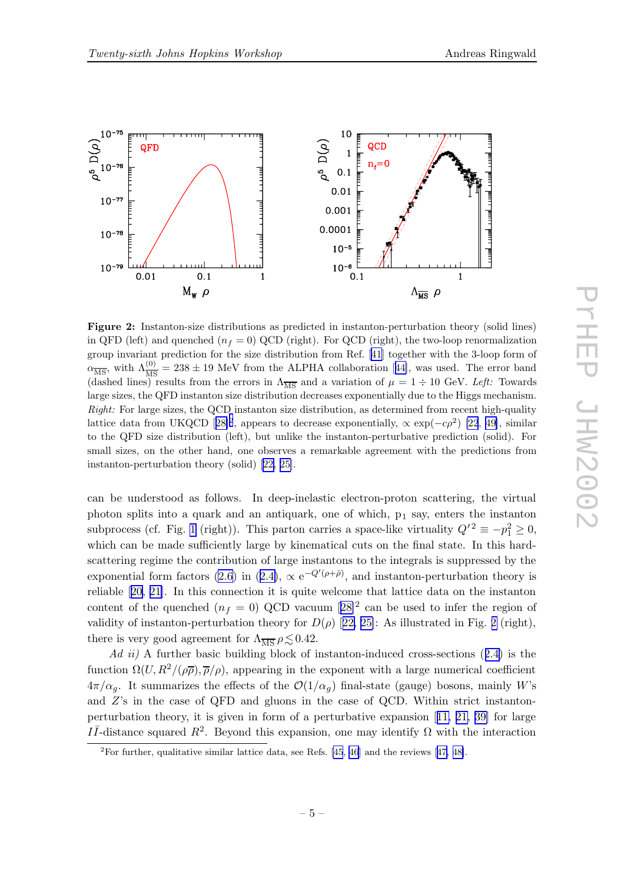<span id="page-4-0"></span>

Figure 2: Instanton-size distributions as predicted in instanton-perturbation theory (solid lines) in QFD (left) and quenched  $(n_f = 0)$  QCD (right). For QCD (right), the two-loop renormalization group invariant prediction for the size distribution from Ref. [\[41](#page-14-0)] together with the 3-loop form of  $\alpha_{\overline{\rm MS}}$ , with  $\Lambda_{\overline{\rm MS}}^{(0)} = 238 \pm 19$  MeV from the ALPHA collaboration [[44\]](#page-14-0), was used. The error band (dashed lines) results from the errors in  $\Lambda_{\overline{\text{MS}}}$  and a variation of  $\mu = 1 \div 10$  GeV. Left: Towards large sizes, the QFD instanton size distribution decreases exponentially due to the Higgs mechanism. Right: For large sizes, the QCD instanton size distribution, as determined from recent high-quality lattice data from UKQCD [[28\]](#page-13-0)<sup>2</sup>, appears to decrease exponentially,  $\propto \exp(-c\rho^2)$  [\[22](#page-13-0), [49\]](#page-14-0), similar to the QFD size distribution (left), but unlike the instanton-perturbative prediction (solid). For small sizes, on the other hand, one observes a remarkable agreement with the predictions from instanton-perturbation theory (solid) [[22,](#page-13-0) [25\]](#page-13-0).

can be understood as follows. In deep-inelastic electron-proton scattering, the virtual photon splits into a quark and an antiquark, one of which, p<sup>1</sup> say, enters the instanton subprocess (cf. Fig. [1](#page-2-0) (right)). This parton carries a space-like virtuality  $Q^2 \equiv -p_1^2 \ge 0$ , which can be made sufficiently large by kinematical cuts on the final state. In this hardscattering regime the contribution of large instantons to the integrals is suppressed by the exponential form factors [\(2.6\)](#page-3-0) in ([2.4\)](#page-2-0),  $\propto e^{-Q'(\rho+\bar{\rho})}$ , and instanton-perturbation theory is reliable [[20,](#page-13-0) [21\]](#page-13-0). In this connection it is quite welcome that lattice data on the instanton content of the quenched  $(n_f = 0)$  QCD vacuum  $[28]^2$  $[28]^2$  $[28]^2$  can be used to infer the region of validity of instanton-perturbation theory for  $D(\rho)$  [[22,](#page-13-0) [25\]](#page-13-0): As illustrated in Fig. 2 (right), there is very good agreement for  $\Lambda_{\overline{MS}} \rho \lesssim 0.42$ .

 $Ad\;ii)$  A further basic building block of instanton-induced cross-sections  $(2.4)$  $(2.4)$  is the function  $\Omega(U, R^2/(\rho \overline{\rho}), \overline{\rho}/\rho)$ , appearing in the exponent with a large numerical coefficient  $4\pi/\alpha_q$ . It summarizes the effects of the  $\mathcal{O}(1/\alpha_q)$  final-state (gauge) bosons, mainly W's and Z's in the case of QFD and gluons in the case of QCD. Within strict instantonperturbation theory, it is given in form of a perturbative expansion [[11,](#page-13-0) [21,](#page-13-0) [39\]](#page-14-0) for large II-distance squared  $R^2$ . Beyond this expansion, one may identify  $\Omega$  with the interaction

<sup>&</sup>lt;sup>2</sup>For further, qualitative similar lattice data, see Refs. [\[45](#page-14-0), [46](#page-14-0)] and the reviews [[47,](#page-14-0) [48\]](#page-14-0).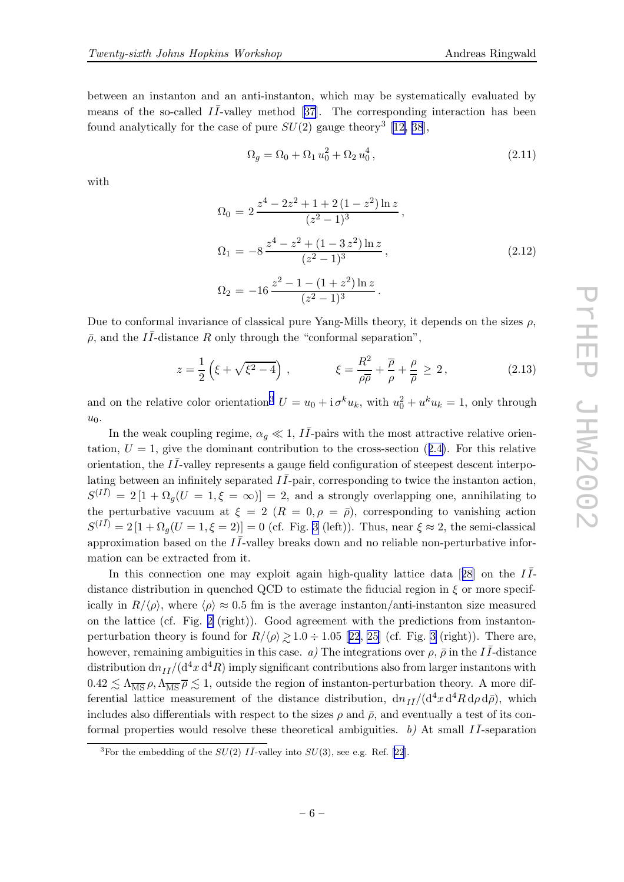<span id="page-5-0"></span>between an instanton and an anti-instanton, which may be systematically evaluated by means of the so-called  $I\bar{I}$ -valley method [[37\]](#page-14-0). The corresponding interaction has been found analytically for the case of pure  $SU(2)$  gauge theory<sup>3</sup> [[12](#page-13-0), [38](#page-14-0)],

$$
\Omega_g = \Omega_0 + \Omega_1 u_0^2 + \Omega_2 u_0^4, \qquad (2.11)
$$

with

$$
\Omega_0 = 2 \frac{z^4 - 2z^2 + 1 + 2(1 - z^2) \ln z}{(z^2 - 1)^3},
$$
  
\n
$$
\Omega_1 = -8 \frac{z^4 - z^2 + (1 - 3z^2) \ln z}{(z^2 - 1)^3},
$$
  
\n
$$
\Omega_2 = -16 \frac{z^2 - 1 - (1 + z^2) \ln z}{(z^2 - 1)^3}.
$$
\n(2.12)

Due to conformal invariance of classical pure Yang-Mills theory, it depends on the sizes  $\rho$ ,  $\bar{\rho}$ , and the II-distance R only through the "conformal separation",

$$
z = \frac{1}{2} \left( \xi + \sqrt{\xi^2 - 4} \right) , \qquad \qquad \xi = \frac{R^2}{\rho \overline{\rho}} + \frac{\overline{\rho}}{\rho} + \frac{\rho}{\overline{\rho}} \ge 2 , \qquad (2.13)
$$

and on the relative color orientation<sup>3</sup>  $U = u_0 + \mathrm{i} \,\sigma^k u_k$ , with  $u_0^2 + u^k u_k = 1$ , only through  $u_0$ .

In the weak coupling regime,  $\alpha_g \ll 1$ ,  $I\bar{I}$ -pairs with the most attractive relative orientation,  $U = 1$ , give the dominant contribution to the cross-section ([2.4\)](#page-2-0). For this relative orientation, the  $I\bar{I}$ -valley represents a gauge field configuration of steepest descent interpolating between an infinitely separated  $I\bar{I}$ -pair, corresponding to twice the instanton action,  $S^{(I\bar{I})} = 2[1 + \Omega_g(U = 1, \xi = \infty)] = 2$ , and a strongly overlapping one, annihilating to the perturbative vacuum at  $\xi = 2$   $(R = 0, \rho = \bar{\rho})$ , corresponding to vanishing action  $S^{(I\bar{I})} = 2 [1 + \Omega_g(U = 1, \xi = 2)] = 0$  (cf. Fig. [3](#page-6-0) (left)). Thus, near  $\xi \approx 2$ , the semi-classical approximation based on the  $I\bar{I}$ -valley breaks down and no reliable non-perturbative information can be extracted from it.

In this connection one may exploit again high-quality lattice data [[28\]](#page-13-0) on the  $I\bar{I}$ distance distribution in quenched QCD to estimate the fiducial region in  $\xi$  or more specifically in  $R/\langle \rho \rangle$ , where  $\langle \rho \rangle \approx 0.5$  fm is the average instanton/anti-instanton size measured on the lattice (cf. Fig. [2](#page-4-0) (right)). Good agreement with the predictions from instantonperturbation theory is found for  $R/\langle \rho \rangle \gtrsim 1.0 \div 1.05$  [[22](#page-13-0), [25\]](#page-13-0) (cf. Fig. [3](#page-6-0) (right)). There are, however, remaining ambiguities in this case. a) The integrations over  $\rho$ ,  $\bar{\rho}$  in the II-distance distribution  $dn_{I\bar{I}}/(d^4x\,d^4R)$  imply significant contributions also from larger instantons with  $0.42 \lesssim \Lambda_{\overline{\rm MS}} \rho, \Lambda_{\overline{\rm MS}} \overline{\rho} \lesssim 1$ , outside the region of instanton-perturbation theory. A more dif-<br>formula lattice was supposed of the distance distribution also  $/(d^4 \nu \Delta R \Delta \sigma^2)$  which ferential lattice measurement of the distance distribution,  $dn_{I\bar{I}}/(d^4x d^4R d\rho d\bar{\rho})$ , which includes also differentials with respect to the sizes  $\rho$  and  $\bar{\rho}$ , and eventually a test of its conformal properties would resolve these theoretical ambiguities. b) At small  $I\bar{I}$ -separation

<sup>&</sup>lt;sup>3</sup>For the embedding of the  $SU(2)$  II<sup>-</sup>valley into  $SU(3)$ , see e.g. Ref. [\[22](#page-13-0)].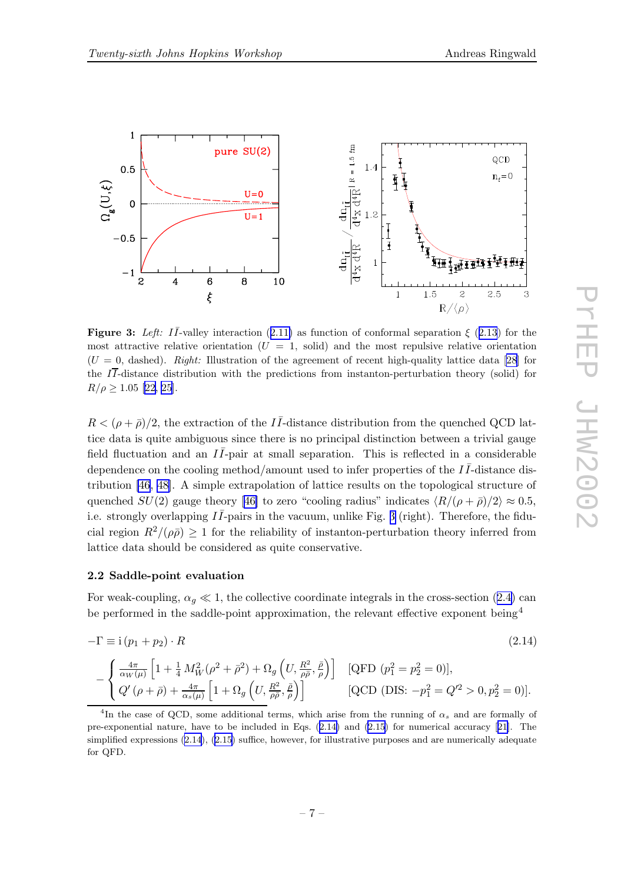

<span id="page-6-0"></span>

Figure 3: Left: II-valley interaction ([2.11\)](#page-5-0) as function of conformal separation  $\xi$  ([2.13](#page-5-0)) for the most attractive relative orientation  $(U = 1, \text{ solid})$  and the most repulsive relative orientation  $(U = 0,$  dashed). Right: Illustration of the agreement of recent high-quality lattice data [\[28\]](#page-13-0) for the  $I\overline{I}$ -distance distribution with the predictions from instanton-perturbation theory (solid) for  $R/\rho \geq 1.05$  [\[22](#page-13-0), [25](#page-13-0)].

 $R < (\rho + \bar{\rho})/2$ , the extraction of the II-distance distribution from the quenched QCD lattice data is quite ambiguous since there is no principal distinction between a trivial gauge field fluctuation and an  $I\bar{I}$ -pair at small separation. This is reflected in a considerable dependence on the cooling method/amount used to infer properties of the  $I\bar{I}$ -distance distribution [\[46](#page-14-0), [48\]](#page-14-0). A simple extrapolation of lattice results on the topological structure of quenched  $SU(2)$  gauge theory [[46\]](#page-14-0) to zero "cooling radius" indicates  $\langle R/(\rho + \bar{\rho})/2 \rangle \approx 0.5$ , i.e. strongly overlapping  $I\bar{I}$ -pairs in the vacuum, unlike Fig. 3 (right). Therefore, the fiducial region  $R^2/(\rho\bar{\rho}) \geq 1$  for the reliability of instanton-perturbation theory inferred from lattice data should be considered as quite conservative.

#### 2.2 Saddle-point evaluation

For weak-coupling,  $\alpha_g \ll 1$ , the collective coordinate integrals in the cross-section ([2.4\)](#page-2-0) can be performed in the saddle-point approximation, the relevant effective exponent being<sup>4</sup>

$$
-\Gamma \equiv i(p_1 + p_2) \cdot R \tag{2.14}
$$

$$
-\left\{\begin{array}{ll}\frac{4\pi}{\alpha_W(\mu)}\left[1+\frac{1}{4}M_W^2(\rho^2+\bar{\rho}^2)+\Omega_g\left(U,\frac{R^2}{\rho\bar{\rho}},\frac{\bar{\rho}}{\rho}\right)\right] & [\text{QFD } (p_1^2=p_2^2=0)],\\Q'(\rho+\bar{\rho})+\frac{4\pi}{\alpha_s(\mu)}\left[1+\Omega_g\left(U,\frac{R^2}{\rho\bar{\rho}},\frac{\bar{\rho}}{\rho}\right)\right] & [\text{QCD (DIS: }-p_1^2=Q'^2>0,p_2^2=0)].\end{array}\right.
$$

<sup>&</sup>lt;sup>4</sup>In the case of QCD, some additional terms, which arise from the running of  $\alpha_s$  and are formally of pre-exponential nature, have to be included in Eqs. (2.14) and ([2.15](#page-7-0)) for numerical accuracy [[21\]](#page-13-0). The simplified expressions (2.14), ([2.15](#page-7-0)) suffice, however, for illustrative purposes and are numerically adequate for QFD.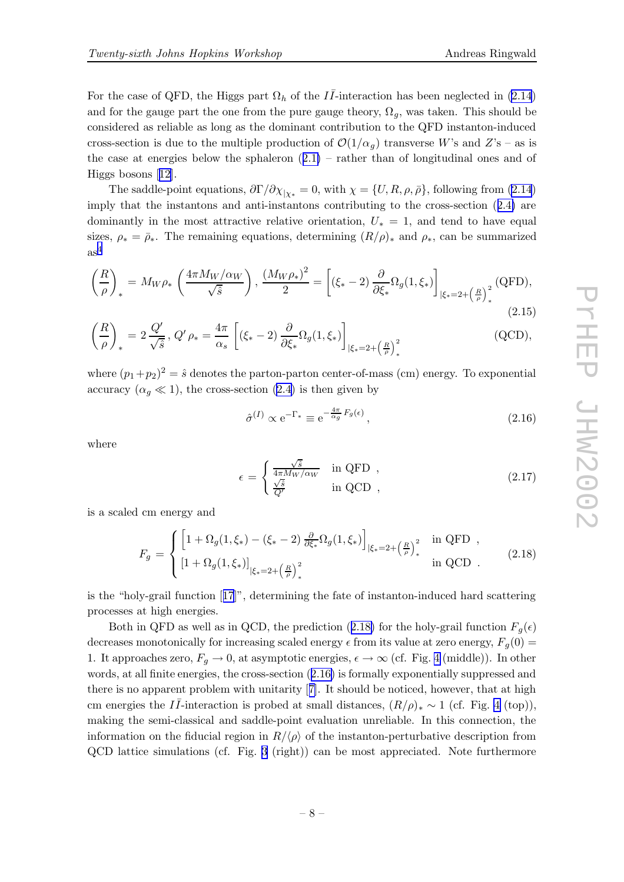<span id="page-7-0"></span>For the case of QFD, the Higgs part  $\Omega_h$  of the  $I\bar{I}$ -interaction has been neglected in ([2.14](#page-6-0)) and for the gauge part the one from the pure gauge theory,  $\Omega_q$ , was taken. This should be considered as reliable as long as the dominant contribution to the QFD instanton-induced cross-section is due to the multiple production of  $\mathcal{O}(1/\alpha_q)$  transverse W's and Z's – as is the case at energies below the sphaleron  $(2.1)$  $(2.1)$  – rather than of longitudinal ones and of Higgs bosons [[12\]](#page-13-0).

The saddle-point equations,  $\partial \Gamma / \partial \chi_{|\chi_*} = 0$ , with  $\chi = \{U, R, \rho, \bar{\rho}\}\,$  following from ([2.14](#page-6-0)) imply that the instantons and anti-instantons contributing to the cross-section ([2.4\)](#page-2-0) are dominantly in the most attractive relative orientation,  $U_* = 1$ , and tend to have equal sizes,  $\rho_* = \bar{\rho}_*$ . The remaining equations, determining  $(R/\rho)_*$  and  $\rho_*$ , can be summarized  $as<sup>4</sup>$  $as<sup>4</sup>$  $as<sup>4</sup>$ 

$$
\left(\frac{R}{\rho}\right)_* = M_W \rho_* \left(\frac{4\pi M_W/\alpha_W}{\sqrt{\hat{s}}}\right), \frac{\left(M_W \rho_*\right)^2}{2} = \left[ (\xi_* - 2) \frac{\partial}{\partial \xi_*} \Omega_g(1, \xi_*) \right]_{|\xi_* = 2 + \left(\frac{R}{\rho}\right)_*^2} (\text{QFD}),\tag{2.15}
$$

$$
\left(\frac{R}{\rho}\right)_* = 2\frac{Q'}{\sqrt{\hat{s}}}, \ Q'\rho_* = \frac{4\pi}{\alpha_s} \left[ (\xi_* - 2) \frac{\partial}{\partial \xi_*} \Omega_g(1, \xi_*) \right]_{|\xi_* = 2 + \left(\frac{R}{\rho}\right)^2_*}
$$
(QCD),

where  $(p_1+p_2)^2 = \hat{s}$  denotes the parton-parton center-of-mass (cm) energy. To exponential accuracy  $(\alpha_q \ll 1)$ , the cross-section ([2.4\)](#page-2-0) is then given by

$$
\hat{\sigma}^{(I)} \propto e^{-\Gamma_*} \equiv e^{-\frac{4\pi}{\alpha_g} F_g(\epsilon)},\tag{2.16}
$$

where

$$
\epsilon = \begin{cases} \frac{\sqrt{\hat{s}}}{4\pi M_W/\alpha_W} & \text{in QFD} ,\\ \frac{\sqrt{\hat{s}}}{Q'} & \text{in QCD} , \end{cases}
$$
 (2.17)

is a scaled cm energy and

$$
F_g = \begin{cases} \left[1 + \Omega_g(1, \xi_*) - (\xi_* - 2) \frac{\partial}{\partial \xi_*} \Omega_g(1, \xi_*)\right]_{|\xi_* = 2 + \left(\frac{R}{\rho}\right)_*^2} & \text{in QFD} ,\\ \left[1 + \Omega_g(1, \xi_*)\right]_{|\xi_* = 2 + \left(\frac{R}{\rho}\right)_*^2} & \text{in QCD} . \end{cases}
$$
(2.18)

is the "holy-grail function [[17](#page-13-0)]", determining the fate of instanton-induced hard scattering processes at high energies.

Both in QFD as well as in QCD, the prediction (2.18) for the holy-grail function  $F_q(\epsilon)$ decreases monotonically for increasing scaled energy  $\epsilon$  from its value at zero energy,  $F_g(0)$  = 1. It approaches zero,  $F_q \to 0$ , at asymptotic energies,  $\epsilon \to \infty$  (cf. Fig. [4](#page-8-0) (middle)). In other words, at all finite energies, the cross-section (2.16) is formally exponentially suppressed and there is no apparent problem with unitarity [[7\]](#page-12-0). It should be noticed, however, that at high cm energies the  $I\bar{I}$ -interaction is probed at small distances,  $(R/\rho)_{*} \sim 1$  (cf. Fig. [4](#page-8-0) (top)), making the semi-classical and saddle-point evaluation unreliable. In this connection, the information on the fiducial region in  $R/\langle \rho \rangle$  of the instanton-perturbative description from QCD lattice simulations (cf. Fig. [3](#page-6-0) (right)) can be most appreciated. Note furthermore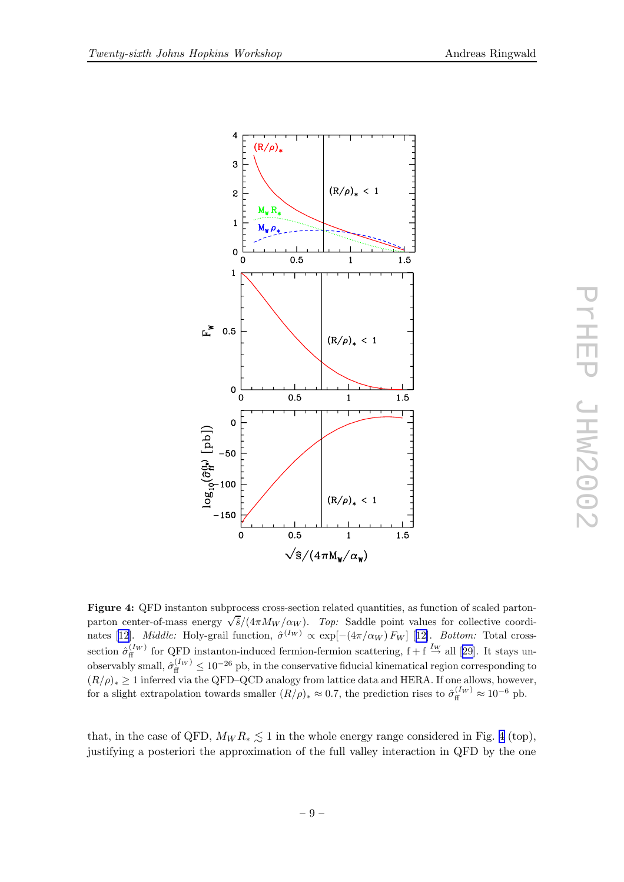<span id="page-8-0"></span>

Figure 4: QFD instanton subprocess cross-section related quantities, as function of scaled partonparton center-of-mass energy  $\sqrt{\hat{s}}/(4\pi M_W/\alpha_W)$ . Top: Saddle point values for collective coordi-nates [\[12\]](#page-13-0). *Middle:* Holy-grail function,  $\hat{\sigma}^{(I_W)} \propto \exp[-(4\pi/\alpha_W) F_W]$  [[12\]](#page-13-0). *Bottom:* Total crosssection  $\hat{\sigma}_{\rm ff}^{(I_W)}$  for QFD instanton-induced fermion-fermion scattering,  $f + f \stackrel{I_W}{\rightarrow}$  all [[29](#page-13-0)]. It stays unobservably small,  $\hat{\sigma}_{\rm ff}^{(I_W)} \le 10^{-26}$  pb, in the conservative fiducial kinematical region corresponding to  $(R/\rho)_* \geq 1$  inferred via the QFD–QCD analogy from lattice data and HERA. If one allows, however, for a slight extrapolation towards smaller  $(R/\rho)_* \approx 0.7$ , the prediction rises to  $\hat{\sigma}_{\rm ff}^{(I_W)} \approx 10^{-6}$  pb.

that, in the case of QFD,  $M_W R_* \leq 1$  in the whole energy range considered in Fig. 4 (top), justifying a posteriori the approximation of the full valley interaction in QFD by the one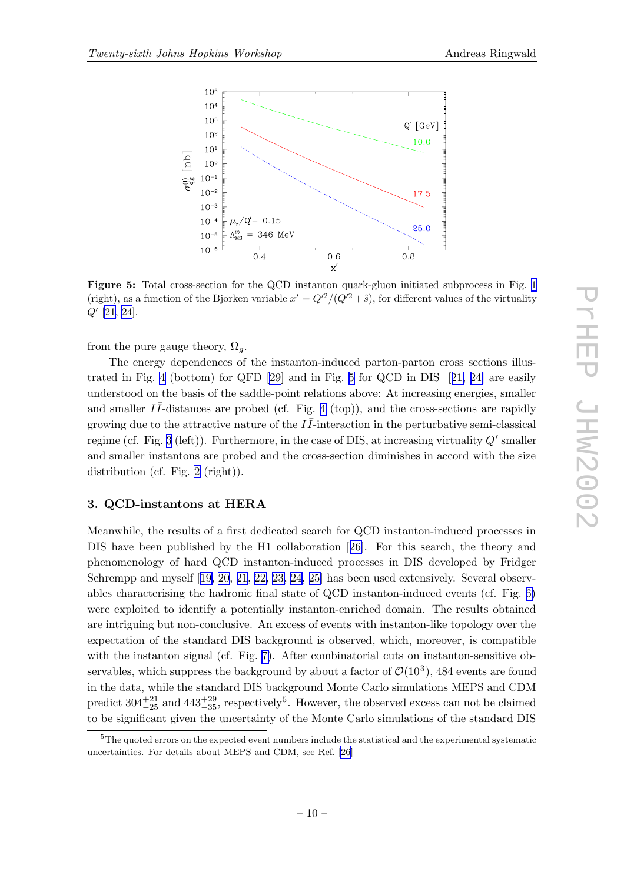<span id="page-9-0"></span>

Figure 5: Total cross-section for the QCD instanton quark-gluon initiated subprocess in Fig. [1](#page-2-0) (right), as a function of the Bjorken variable  $x' = Q'^2/(Q'^2 + \hat{s})$ , for different values of the virtuality  $Q'$  [\[21](#page-13-0), [24](#page-13-0)].

from the pure gauge theory,  $\Omega_q$ .

The energy dependences of the instanton-induced parton-parton cross sections illustrated in Fig. [4](#page-8-0) (bottom) for QFD [\[29\]](#page-13-0) and in Fig. 5 for QCD in DIS [[21,](#page-13-0) [24\]](#page-13-0) are easily understood on the basis of the saddle-point relations above: At increasing energies, smaller and smaller  $I\bar{I}$ -distances are probed (cf. Fig. [4](#page-8-0) (top)), and the cross-sections are rapidly growing due to the attractive nature of the  $I\bar{I}$ -interaction in the perturbative semi-classical regime (cf. Fig. [3](#page-6-0) (left)). Furthermore, in the case of DIS, at increasing virtuality  $Q'$  smaller and smaller instantons are probed and the cross-section diminishes in accord with the size distribution (cf. Fig. [2](#page-4-0) (right)).

#### 3. QCD-instantons at HERA

Meanwhile, the results of a first dedicated search for QCD instanton-induced processes in DIS have been published by the H1 collaboration [[26\]](#page-13-0). For this search, the theory and phenomenology of hard QCD instanton-induced processes in DIS developed by Fridger Schrempp and myself [[19,](#page-13-0) [20,](#page-13-0) [21](#page-13-0), [22,](#page-13-0) [23,](#page-13-0) [24,](#page-13-0) [25\]](#page-13-0) has been used extensively. Several observables characterising the hadronic final state of QCD instanton-induced events (cf. Fig. [6\)](#page-10-0) were exploited to identify a potentially instanton-enriched domain. The results obtained are intriguing but non-conclusive. An excess of events with instanton-like topology over the expectation of the standard DIS background is observed, which, moreover, is compatible with the instanton signal (cf. Fig. [7\)](#page-11-0). After combinatorial cuts on instanton-sensitive observables, which suppress the background by about a factor of  $\mathcal{O}(10^3)$ , 484 events are found in the data, while the standard DIS background Monte Carlo simulations MEPS and CDM predict  $304^{+21}_{-25}$  and  $443^{+29}_{-35}$ , respectively<sup>5</sup>. However, the observed excess can not be claimed to be significant given the uncertainty of the Monte Carlo simulations of the standard DIS

<sup>&</sup>lt;sup>5</sup>The quoted errors on the expected event numbers include the statistical and the experimental systematic uncertainties. For details about MEPS and CDM, see Ref. [\[26](#page-13-0)]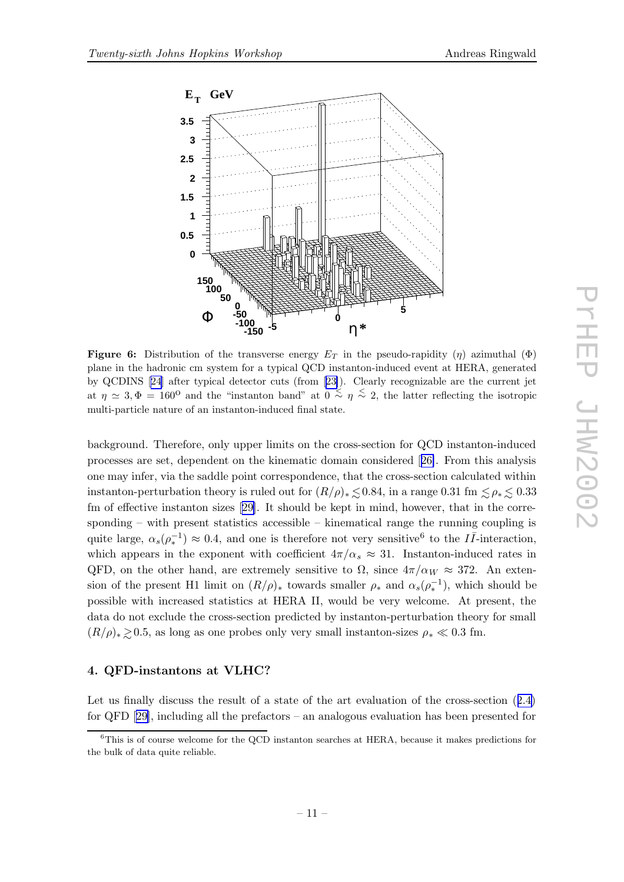

<span id="page-10-0"></span>

**Figure 6:** Distribution of the transverse energy  $E_T$  in the pseudo-rapidity (η) azimuthal ( $\Phi$ ) plane in the hadronic cm system for a typical QCD instanton-induced event at HERA, generated by QCDINS [[24\]](#page-13-0) after typical detector cuts (from [[23\]](#page-13-0)). Clearly recognizable are the current jet at  $\eta \simeq 3, \Phi = 160^{\circ}$  and the "instanton band" at  $0 \stackrel{<}{\sim} \eta \stackrel{<}{\sim} 2$ , the latter reflecting the isotropic multi-particle nature of an instanton-induced final state.

background. Therefore, only upper limits on the cross-section for QCD instanton-induced processes are set, dependent on the kinematic domain considered [[26\]](#page-13-0). From this analysis one may infer, via the saddle point correspondence, that the cross-section calculated within instanton-perturbation theory is ruled out for  $(R/\rho)_* \leq 0.84$ , in a range 0.31 fm  $\leq \rho_* \leq 0.33$ fm of effective instanton sizes [[29\]](#page-13-0). It should be kept in mind, however, that in the corresponding – with present statistics accessible – kinematical range the running coupling is quite large,  $\alpha_s(\rho_*^{-1}) \approx 0.4$ , and one is therefore not very sensitive<sup>6</sup> to the  $I\bar{I}$ -interaction, which appears in the exponent with coefficient  $4\pi/\alpha_s \approx 31$ . Instanton-induced rates in QFD, on the other hand, are extremely sensitive to  $\Omega$ , since  $4\pi/\alpha_W \approx 372$ . An extension of the present H1 limit on  $(R/\rho)_*$  towards smaller  $\rho_*$  and  $\alpha_s(\rho_*^{-1})$ , which should be possible with increased statistics at HERA II, would be very welcome. At present, the data do not exclude the cross-section predicted by instanton-perturbation theory for small  $(R/\rho)_{*} \gtrsim 0.5$ , as long as one probes only very small instanton-sizes  $\rho_{*} \ll 0.3$  fm.

# 4. QFD-instantons at VLHC?

Let us finally discuss the result of a state of the art evaluation of the cross-section ([2.4\)](#page-2-0) for QFD [[29\]](#page-13-0), including all the prefactors – an analogous evaluation has been presented for

<sup>&</sup>lt;sup>6</sup>This is of course welcome for the QCD instanton searches at HERA, because it makes predictions for the bulk of data quite reliable.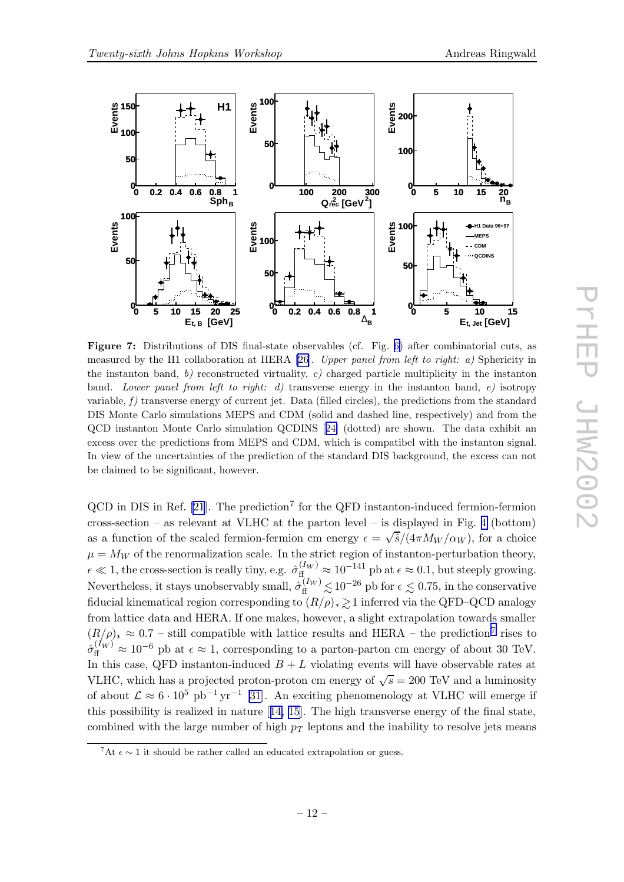<span id="page-11-0"></span>

Figure 7: Distributions of DIS final-state observables (cf. Fig. [6\)](#page-10-0) after combinatorial cuts, as measured by the H1 collaboration at HERA [\[26](#page-13-0)]. Upper panel from left to right: a) Sphericity in the instanton band, b) reconstructed virtuality, c) charged particle multiplicity in the instanton band. Lower panel from left to right: d) transverse energy in the instanton band, e) isotropy variable,  $f$  ) transverse energy of current jet. Data (filled circles), the predictions from the standard DIS Monte Carlo simulations MEPS and CDM (solid and dashed line, respectively) and from the QCD instanton Monte Carlo simulation QCDINS [[24\]](#page-13-0) (dotted) are shown. The data exhibit an excess over the predictions from MEPS and CDM, which is compatibel with the instanton signal. In view of the uncertainties of the prediction of the standard DIS background, the excess can not be claimed to be significant, however.

 $QCD$  in DIS in Ref. [\[21](#page-13-0)]. The prediction<sup>7</sup> for the QFD instanton-induced fermion-fermion cross-section – as relevant at VLHC at the parton level – is displayed in Fig. [4](#page-8-0) (bottom) as a function of the scaled fermion-fermion cm energy  $\epsilon = \sqrt{\frac{\hat{s}}{(4\pi M_W/\alpha_W)}}$ , for a choice  $\mu = M_W$  of the renormalization scale. In the strict region of instanton-perturbation theory,  $\epsilon \ll 1$ , the cross-section is really tiny, e.g.  $\hat{\sigma}_{\text{ff}}^{(I_W)} \approx 10^{-141}$  pb at  $\epsilon \approx 0.1$ , but steeply growing. Nevertheless, it stays unobservably small,  $\hat{\sigma}_{\rm ff}^{(I_W)}$  $\frac{N(\mu)}{2} \lesssim 10^{-26}$  pb for  $\epsilon \lesssim 0.75$ , in the conservative fiducial kinematical region corresponding to  $(R/\rho)_* \gtrsim 1$  inferred via the QFD–QCD analogy from lattice data and HERA. If one makes, however, a slight extrapolation towards smaller  $(R/\rho)_* \approx 0.7$  – still compatible with lattice results and HERA – the prediction<sup>7</sup> rises to  $\hat{\sigma}_{\rm ff}^{(I_W)} \approx 10^{-6}$  pb at  $\epsilon \approx 1$ , corresponding to a parton-parton cm energy of about 30 TeV. In this case, QFD instanton-induced  $B + L$  violating events will have observable rates at VLHC, which has a projected proton-proton cm energy of  $\sqrt{s} = 200 \text{ TeV}$  and a luminosity of about  $\mathcal{L} \approx 6 \cdot 10^5 \text{ pb}^{-1} \text{ yr}^{-1}$  [\[31](#page-13-0)]. An exciting phenomenology at VLHC will emerge if this possibility is realized in nature [[14,](#page-13-0) [15\]](#page-13-0). The high transverse energy of the final state, combined with the large number of high  $p_T$  leptons and the inability to resolve jets means

<sup>&</sup>lt;sup>7</sup>At  $\epsilon \sim 1$  it should be rather called an educated extrapolation or guess.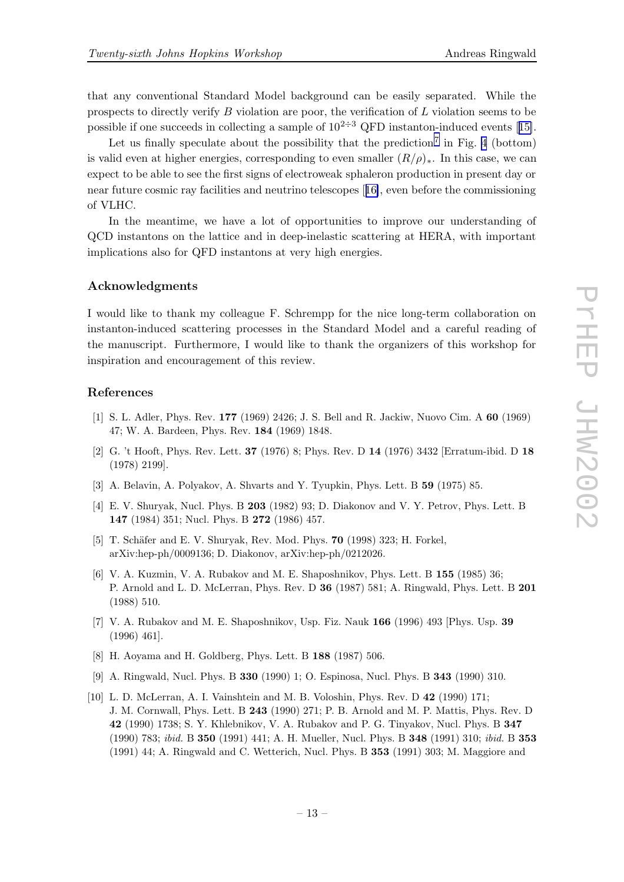<span id="page-12-0"></span>that any conventional Standard Model background can be easily separated. While the prospects to directly verify B violation are poor, the verification of L violation seems to be possible if one succeeds in collecting a sample of  $10^{2\div 3}$  QFD instanton-induced events [[15\]](#page-13-0).

Let us finally speculate about the possibility that the prediction<sup>[7](#page-11-0)</sup> in Fig. [4](#page-8-0) (bottom) is valid even at higher energies, corresponding to even smaller  $(R/\rho)_*.$  In this case, we can expect to be able to see the first signs of electroweak sphaleron production in present day or near future cosmic ray facilities and neutrino telescopes [[16\]](#page-13-0), even before the commissioning of VLHC.

In the meantime, we have a lot of opportunities to improve our understanding of QCD instantons on the lattice and in deep-inelastic scattering at HERA, with important implications also for QFD instantons at very high energies.

#### Acknowledgments

I would like to thank my colleague F. Schrempp for the nice long-term collaboration on instanton-induced scattering processes in the Standard Model and a careful reading of the manuscript. Furthermore, I would like to thank the organizers of this workshop for inspiration and encouragement of this review.

#### References

- [1] S. L. Adler, Phys. Rev. 177 (1969) 2426; J. S. Bell and R. Jackiw, Nuovo Cim. A 60 (1969) 47; W. A. Bardeen, Phys. Rev. 184 (1969) 1848.
- [2] G. 't Hooft, Phys. Rev. Lett. 37 (1976) 8; Phys. Rev. D 14 (1976) 3432 [Erratum-ibid. D 18 (1978) 2199].
- [3] A. Belavin, A. Polyakov, A. Shvarts and Y. Tyupkin, Phys. Lett. B 59 (1975) 85.
- [4] E. V. Shuryak, Nucl. Phys. B 203 (1982) 93; D. Diakonov and V. Y. Petrov, Phys. Lett. B 147 (1984) 351; Nucl. Phys. B 272 (1986) 457.
- [5] T. Schäfer and E. V. Shuryak, Rev. Mod. Phys. 70 (1998) 323; H. Forkel, arXiv:hep-ph/0009136; D. Diakonov, arXiv:hep-ph/0212026.
- [6] V. A. Kuzmin, V. A. Rubakov and M. E. Shaposhnikov, Phys. Lett. B 155 (1985) 36; P. Arnold and L. D. McLerran, Phys. Rev. D 36 (1987) 581; A. Ringwald, Phys. Lett. B 201 (1988) 510.
- [7] V. A. Rubakov and M. E. Shaposhnikov, Usp. Fiz. Nauk 166 (1996) 493 [Phys. Usp. 39 (1996) 461].
- [8] H. Aoyama and H. Goldberg, Phys. Lett. B 188 (1987) 506.
- [9] A. Ringwald, Nucl. Phys. B 330 (1990) 1; O. Espinosa, Nucl. Phys. B 343 (1990) 310.
- [10] L. D. McLerran, A. I. Vainshtein and M. B. Voloshin, Phys. Rev. D 42 (1990) 171; J. M. Cornwall, Phys. Lett. B 243 (1990) 271; P. B. Arnold and M. P. Mattis, Phys. Rev. D 42 (1990) 1738; S. Y. Khlebnikov, V. A. Rubakov and P. G. Tinyakov, Nucl. Phys. B 347 (1990) 783; ibid. B 350 (1991) 441; A. H. Mueller, Nucl. Phys. B 348 (1991) 310; ibid. B 353 (1991) 44; A. Ringwald and C. Wetterich, Nucl. Phys. B 353 (1991) 303; M. Maggiore and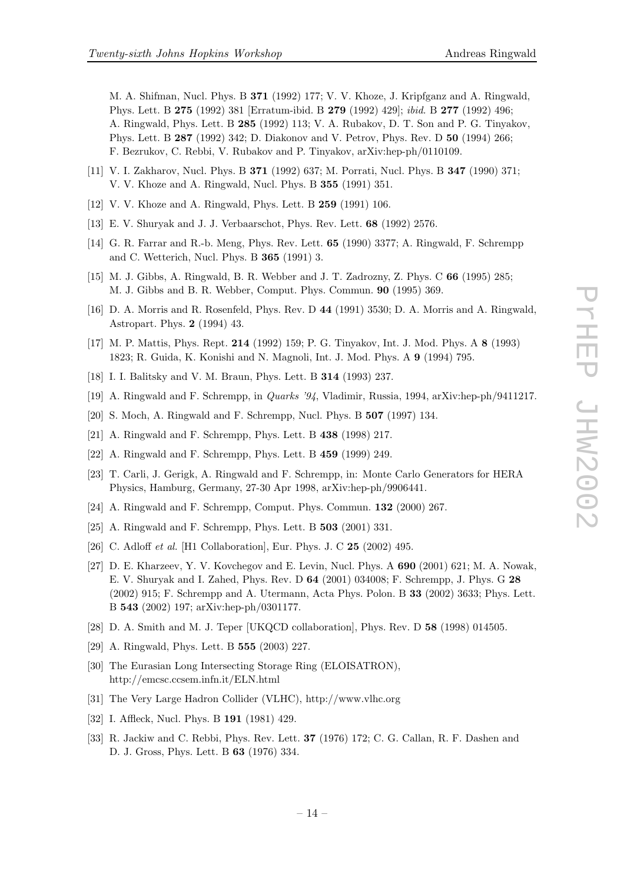<span id="page-13-0"></span>M. A. Shifman, Nucl. Phys. B 371 (1992) 177; V. V. Khoze, J. Kripfganz and A. Ringwald, Phys. Lett. B 275 (1992) 381 [Erratum-ibid. B 279 (1992) 429]; ibid. B 277 (1992) 496; A. Ringwald, Phys. Lett. B 285 (1992) 113; V. A. Rubakov, D. T. Son and P. G. Tinyakov, Phys. Lett. B 287 (1992) 342; D. Diakonov and V. Petrov, Phys. Rev. D 50 (1994) 266; F. Bezrukov, C. Rebbi, V. Rubakov and P. Tinyakov, arXiv:hep-ph/0110109.

- [11] V. I. Zakharov, Nucl. Phys. B 371 (1992) 637; M. Porrati, Nucl. Phys. B 347 (1990) 371; V. V. Khoze and A. Ringwald, Nucl. Phys. B 355 (1991) 351.
- [12] V. V. Khoze and A. Ringwald, Phys. Lett. B 259 (1991) 106.
- [13] E. V. Shuryak and J. J. Verbaarschot, Phys. Rev. Lett. 68 (1992) 2576.
- [14] G. R. Farrar and R.-b. Meng, Phys. Rev. Lett. 65 (1990) 3377; A. Ringwald, F. Schrempp and C. Wetterich, Nucl. Phys. B 365 (1991) 3.
- [15] M. J. Gibbs, A. Ringwald, B. R. Webber and J. T. Zadrozny, Z. Phys. C 66 (1995) 285; M. J. Gibbs and B. R. Webber, Comput. Phys. Commun. 90 (1995) 369.
- [16] D. A. Morris and R. Rosenfeld, Phys. Rev. D 44 (1991) 3530; D. A. Morris and A. Ringwald, Astropart. Phys. 2 (1994) 43.
- [17] M. P. Mattis, Phys. Rept. 214 (1992) 159; P. G. Tinyakov, Int. J. Mod. Phys. A 8 (1993) 1823; R. Guida, K. Konishi and N. Magnoli, Int. J. Mod. Phys. A 9 (1994) 795.
- [18] I. I. Balitsky and V. M. Braun, Phys. Lett. B 314 (1993) 237.
- [19] A. Ringwald and F. Schrempp, in Quarks '94, Vladimir, Russia, 1994, arXiv:hep-ph/9411217.
- [20] S. Moch, A. Ringwald and F. Schrempp, Nucl. Phys. B 507 (1997) 134.
- [21] A. Ringwald and F. Schrempp, Phys. Lett. B 438 (1998) 217.
- [22] A. Ringwald and F. Schrempp, Phys. Lett. B 459 (1999) 249.
- [23] T. Carli, J. Gerigk, A. Ringwald and F. Schrempp, in: Monte Carlo Generators for HERA Physics, Hamburg, Germany, 27-30 Apr 1998, arXiv:hep-ph/9906441.
- [24] A. Ringwald and F. Schrempp, Comput. Phys. Commun. 132 (2000) 267.
- [25] A. Ringwald and F. Schrempp, Phys. Lett. B **503** (2001) 331.
- [26] C. Adloff *et al.* [H1 Collaboration], Eur. Phys. J. C **25** (2002) 495.
- [27] D. E. Kharzeev, Y. V. Kovchegov and E. Levin, Nucl. Phys. A 690 (2001) 621; M. A. Nowak, E. V. Shuryak and I. Zahed, Phys. Rev. D 64 (2001) 034008; F. Schrempp, J. Phys. G 28 (2002) 915; F. Schrempp and A. Utermann, Acta Phys. Polon. B 33 (2002) 3633; Phys. Lett. B 543 (2002) 197; arXiv:hep-ph/0301177.
- [28] D. A. Smith and M. J. Teper [UKQCD collaboration], Phys. Rev. D 58 (1998) 014505.
- [29] A. Ringwald, Phys. Lett. B 555 (2003) 227.
- [30] The Eurasian Long Intersecting Storage Ring (ELOISATRON), http://emcsc.ccsem.infn.it/ELN.html
- [31] The Very Large Hadron Collider (VLHC), http://www.vlhc.org
- [32] I. Affleck, Nucl. Phys. B **191** (1981) 429.
- [33] R. Jackiw and C. Rebbi, Phys. Rev. Lett. 37 (1976) 172; C. G. Callan, R. F. Dashen and D. J. Gross, Phys. Lett. B 63 (1976) 334.